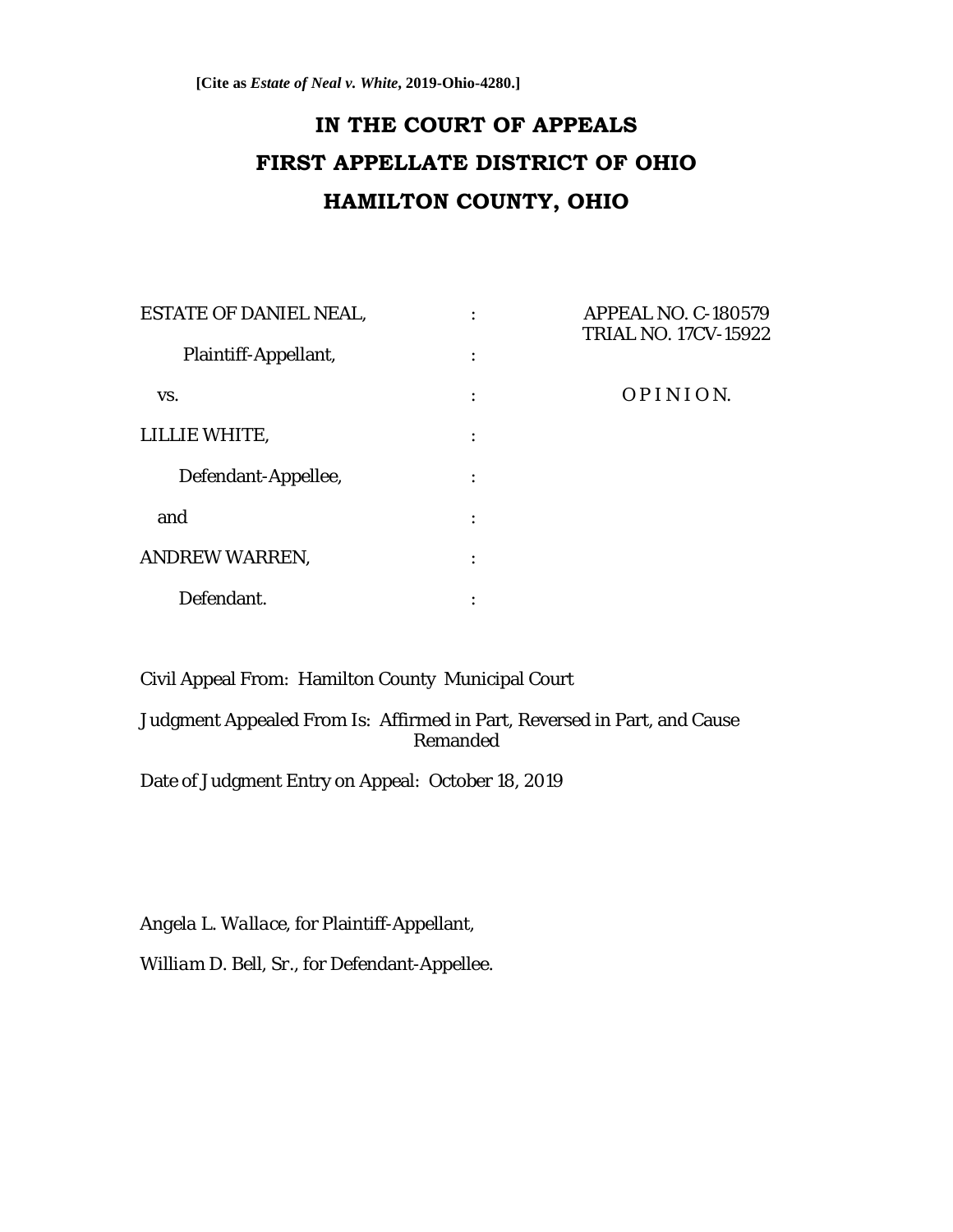# **IN THE COURT OF APPEALS FIRST APPELLATE DISTRICT OF OHIO HAMILTON COUNTY, OHIO**

| <b>ESTATE OF DANIEL NEAL,</b><br>Plaintiff-Appellant, | ٠<br>$\ddot{\cdot}$ | <b>APPEAL NO. C-180579</b><br><b>TRIAL NO. 17CV-15922</b> |
|-------------------------------------------------------|---------------------|-----------------------------------------------------------|
|                                                       |                     |                                                           |
| LILLIE WHITE,                                         |                     |                                                           |
| Defendant-Appellee,                                   | $\bullet$           |                                                           |
| and                                                   | $\bullet$           |                                                           |
| ANDREW WARREN,                                        | $\bullet$           |                                                           |
| Defendant.                                            | $\bullet$           |                                                           |

Civil Appeal From: Hamilton County Municipal Court

Judgment Appealed From Is: Affirmed in Part, Reversed in Part, and Cause Remanded

Date of Judgment Entry on Appeal: October 18, 2019

*Angela L. Wallace*, for Plaintiff-Appellant,

*William D. Bell, Sr*., for Defendant-Appellee.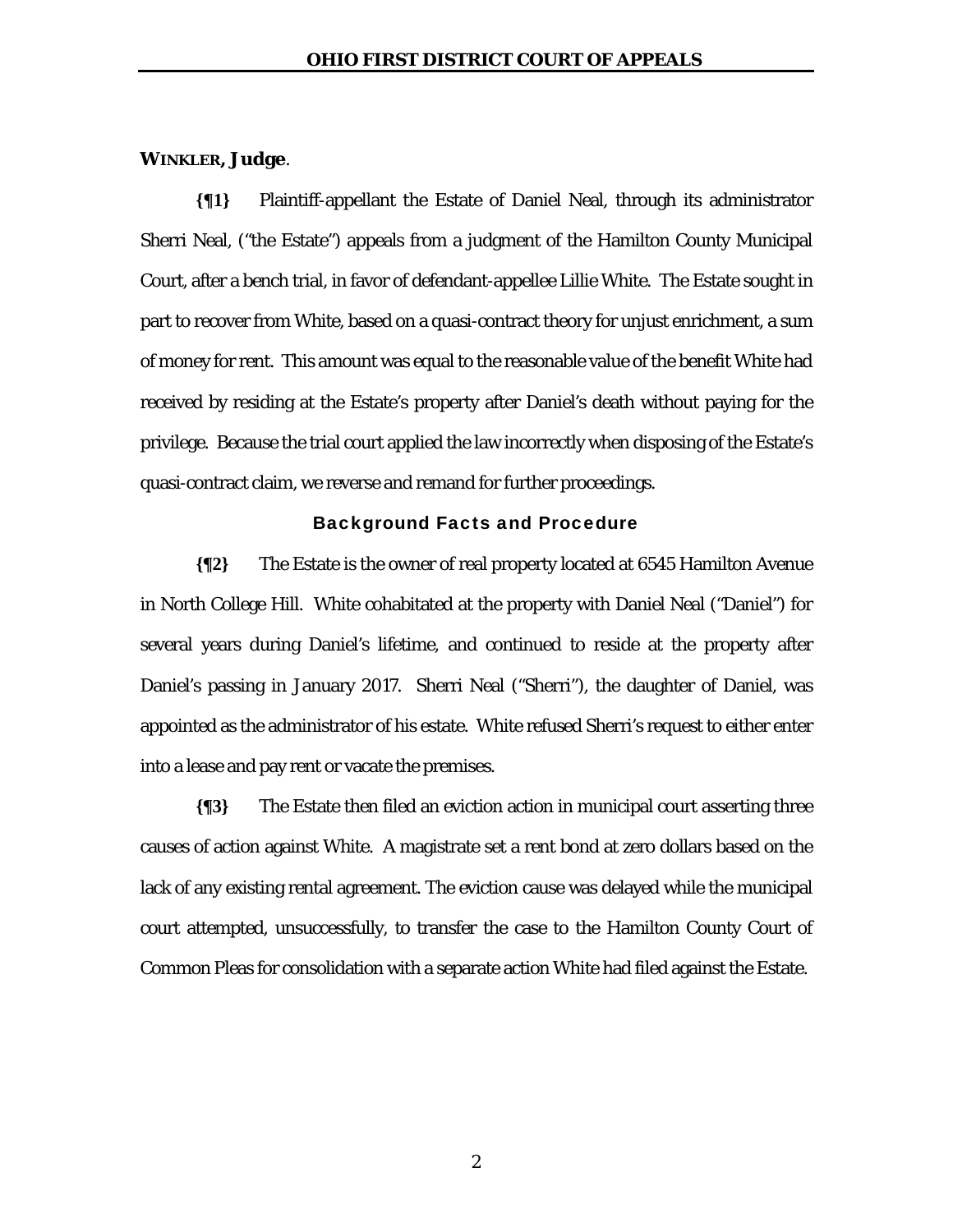### **WINKLER, Judge**.

**{¶1}** Plaintiff-appellant the Estate of Daniel Neal, through its administrator Sherri Neal, ("the Estate") appeals from a judgment of the Hamilton County Municipal Court, after a bench trial, in favor of defendant-appellee Lillie White. The Estate sought in part to recover from White, based on a quasi-contract theory for unjust enrichment, a sum of money for rent. This amount was equal to the reasonable value of the benefit White had received by residing at the Estate's property after Daniel's death without paying for the privilege. Because the trial court applied the law incorrectly when disposing of the Estate's quasi-contract claim, we reverse and remand for further proceedings.

#### Background Facts and Procedure

**{¶2}** The Estate is the owner of real property located at 6545 Hamilton Avenue in North College Hill. White cohabitated at the property with Daniel Neal ("Daniel") for several years during Daniel's lifetime, and continued to reside at the property after Daniel's passing in January 2017. Sherri Neal ("Sherri"), the daughter of Daniel, was appointed as the administrator of his estate. White refused Sherri's request to either enter into a lease and pay rent or vacate the premises.

**{¶3}** The Estate then filed an eviction action in municipal court asserting three causes of action against White. A magistrate set a rent bond at zero dollars based on the lack of any existing rental agreement. The eviction cause was delayed while the municipal court attempted, unsuccessfully, to transfer the case to the Hamilton County Court of Common Pleas for consolidation with a separate action White had filed against the Estate.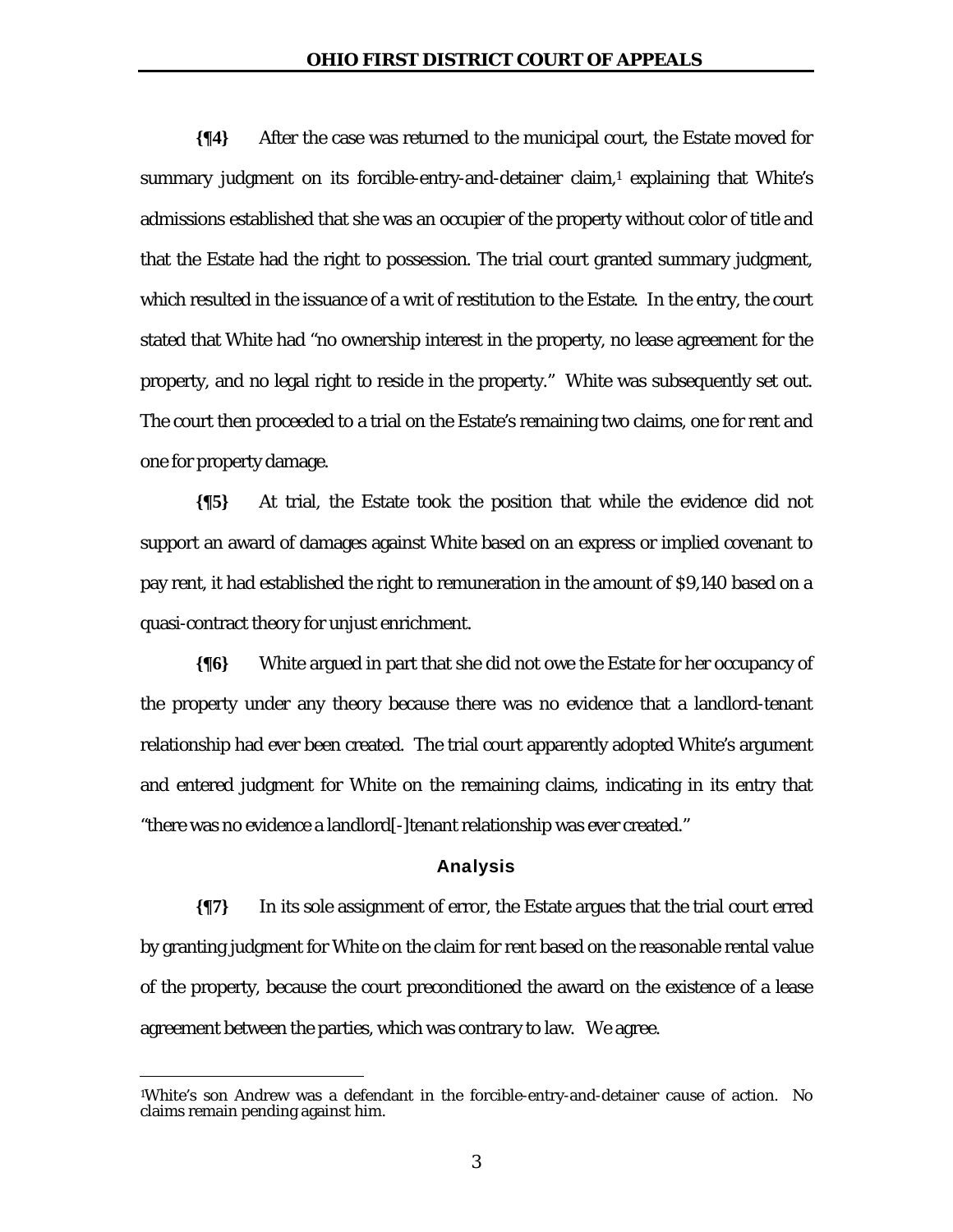**{¶4}** After the case was returned to the municipal court, the Estate moved for summary judgment on its forcible-entry-and-detainer claim,<sup>1</sup> explaining that White's admissions established that she was an occupier of the property without color of title and that the Estate had the right to possession. The trial court granted summary judgment, which resulted in the issuance of a writ of restitution to the Estate. In the entry, the court stated that White had "no ownership interest in the property, no lease agreement for the property, and no legal right to reside in the property." White was subsequently set out. The court then proceeded to a trial on the Estate's remaining two claims, one for rent and one for property damage.

**{¶5}** At trial, the Estate took the position that while the evidence did not support an award of damages against White based on an express or implied covenant to pay rent, it had established the right to remuneration in the amount of \$9,140 based on a quasi-contract theory for unjust enrichment.

**{¶6}** White argued in part that she did not owe the Estate for her occupancy of the property under any theory because there was no evidence that a landlord-tenant relationship had ever been created. The trial court apparently adopted White's argument and entered judgment for White on the remaining claims, indicating in its entry that "there was no evidence a landlord[-]tenant relationship was ever created."

#### Analysis

**{¶7}** In its sole assignment of error, the Estate argues that the trial court erred by granting judgment for White on the claim for rent based on the reasonable rental value of the property, because the court preconditioned the award on the existence of a lease agreement between the parties, which was contrary to law. We agree.

-

<sup>1</sup>White's son Andrew was a defendant in the forcible-entry-and-detainer cause of action. No claims remain pending against him.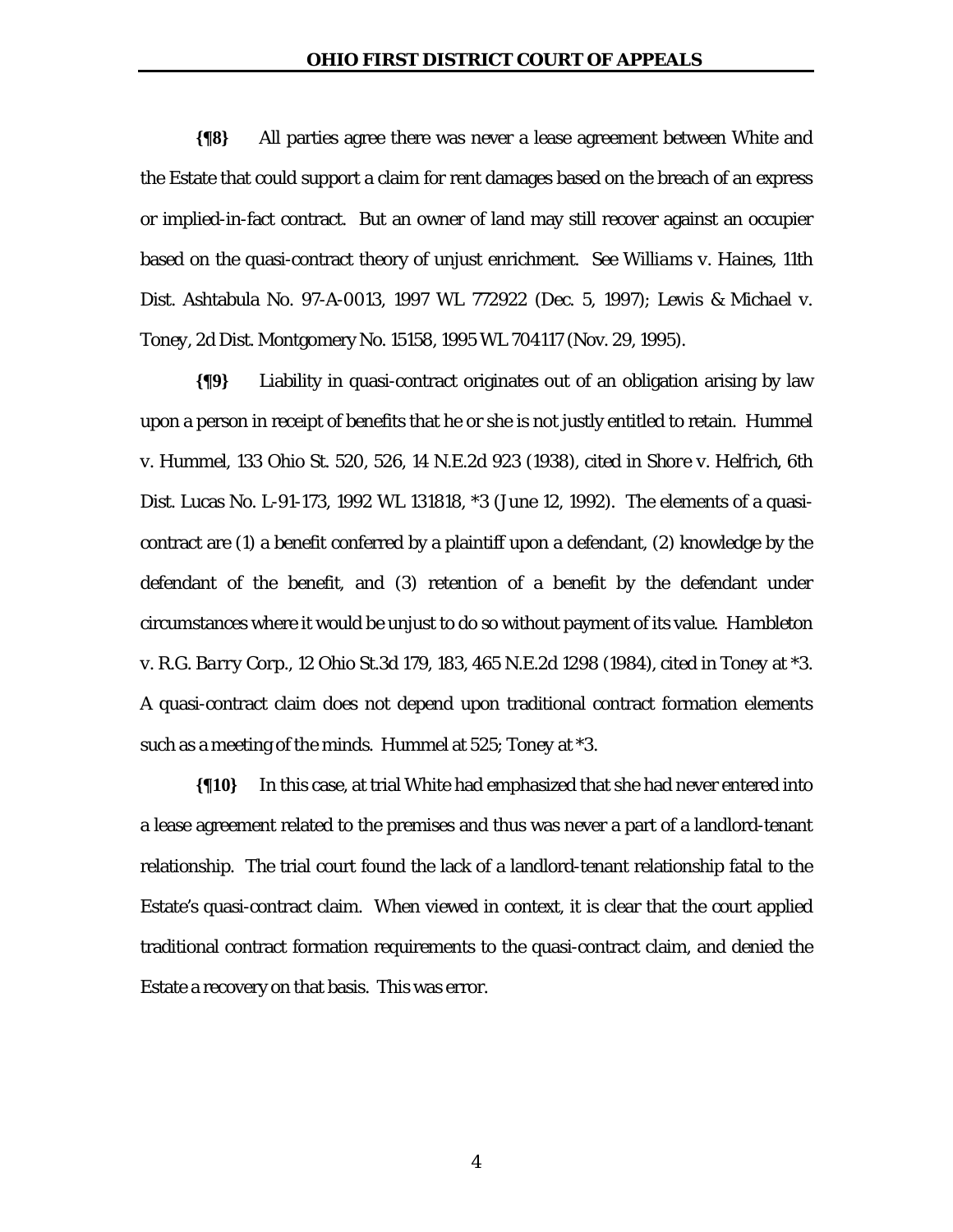**{¶8}** All parties agree there was never a lease agreement between White and the Estate that could support a claim for rent damages based on the breach of an express or implied-in-fact contract. But an owner of land may still recover against an occupier based on the quasi-contract theory of unjust enrichment. *See Williams v. Haines*, 11th Dist. Ashtabula No. 97-A-0013, 1997 WL 772922 (Dec. 5, 1997); *Lewis & Michael v. Toney*, 2d Dist. Montgomery No. 15158, 1995 WL 704117 (Nov. 29, 1995).

**{¶9}** Liability in quasi-contract originates out of an obligation arising by law upon a person in receipt of benefits that he or she is not justly entitled to retain. *Hummel v. Hummel*, 133 Ohio St. 520, 526, 14 N.E.2d 923 (1938), cited in *Shore v. Helfrich*, 6th Dist. Lucas No. L-91-173, 1992 WL 131818, \*3 (June 12, 1992). The elements of a quasicontract are (1) a benefit conferred by a plaintiff upon a defendant, (2) knowledge by the defendant of the benefit, and (3) retention of a benefit by the defendant under circumstances where it would be unjust to do so without payment of its value. *Hambleton v. R.G. Barry Corp*., 12 Ohio St.3d 179, 183, 465 N.E.2d 1298 (1984), cited in *Toney* at \*3. A quasi-contract claim does not depend upon traditional contract formation elements such as a meeting of the minds. *Hummel* at 525; *Toney* at \*3.

**{¶10}** In this case, at trial White had emphasized that she had never entered into a lease agreement related to the premises and thus was never a part of a landlord-tenant relationship. The trial court found the lack of a landlord-tenant relationship fatal to the Estate's quasi-contract claim. When viewed in context, it is clear that the court applied traditional contract formation requirements to the quasi-contract claim, and denied the Estate a recovery on that basis. This was error.

4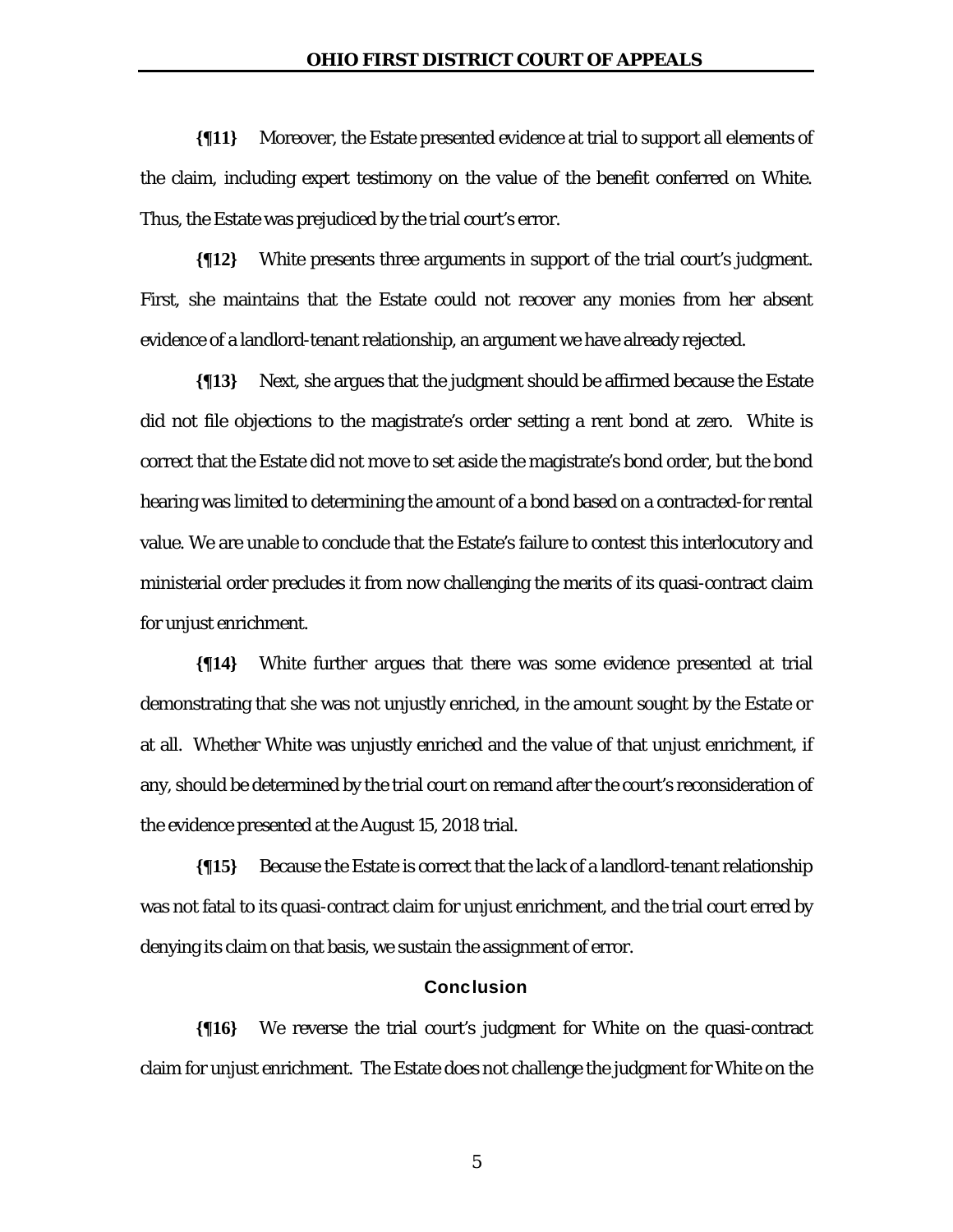**{¶11}** Moreover, the Estate presented evidence at trial to support all elements of the claim, including expert testimony on the value of the benefit conferred on White. Thus, the Estate was prejudiced by the trial court's error.

**{¶12}** White presents three arguments in support of the trial court's judgment. First, she maintains that the Estate could not recover any monies from her absent evidence of a landlord-tenant relationship, an argument we have already rejected.

**{¶13}** Next, she argues that the judgment should be affirmed because the Estate did not file objections to the magistrate's order setting a rent bond at zero. White is correct that the Estate did not move to set aside the magistrate's bond order, but the bond hearing was limited to determining the amount of a bond based on a contracted-for rental value. We are unable to conclude that the Estate's failure to contest this interlocutory and ministerial order precludes it from now challenging the merits of its quasi-contract claim for unjust enrichment.

**{¶14}** White further argues that there was some evidence presented at trial demonstrating that she was not unjustly enriched, in the amount sought by the Estate or at all. Whether White was unjustly enriched and the value of that unjust enrichment, if any, should be determined by the trial court on remand after the court's reconsideration of the evidence presented at the August 15, 2018 trial.

**{¶15}** Because the Estate is correct that the lack of a landlord-tenant relationship was not fatal to its quasi-contract claim for unjust enrichment, and the trial court erred by denying its claim on that basis, we sustain the assignment of error.

## Conclusion

**{¶16}** We reverse the trial court's judgment for White on the quasi-contract claim for unjust enrichment. The Estate does not challenge the judgment for White on the

5